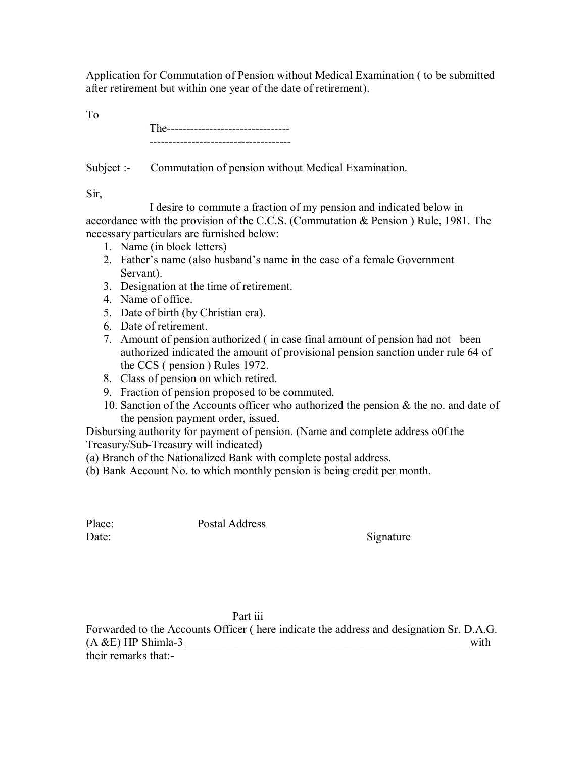Application for Commutation of Pension without Medical Examination ( to be submitted after retirement but within one year of the date of retirement).

To

| --- |                                        |
|-----|----------------------------------------|
|     | -------------------------------------- |

Subject :- Commutation of pension without Medical Examination.

Sir,

 I desire to commute a fraction of my pension and indicated below in accordance with the provision of the C.C.S. (Commutation & Pension ) Rule, 1981. The necessary particulars are furnished below:

- 1. Name (in block letters)
- 2. Father's name (also husband's name in the case of a female Government Servant).
- 3. Designation at the time of retirement.
- 4. Name of office.
- 5. Date of birth (by Christian era).
- 6. Date of retirement.
- 7. Amount of pension authorized ( in case final amount of pension had not been authorized indicated the amount of provisional pension sanction under rule 64 of the CCS ( pension ) Rules 1972.
- 8. Class of pension on which retired.
- 9. Fraction of pension proposed to be commuted.
- 10. Sanction of the Accounts officer who authorized the pension & the no. and date of the pension payment order, issued.

Disbursing authority for payment of pension. (Name and complete address o0f the Treasury/Sub-Treasury will indicated)

- (a) Branch of the Nationalized Bank with complete postal address.
- (b) Bank Account No. to which monthly pension is being credit per month.

Place: Postal Address

Date: Signature

## Part iii

Forwarded to the Accounts Officer ( here indicate the address and designation Sr. D.A.G.  $(A \& E)$  HP Shimla-3 with their remarks that:-